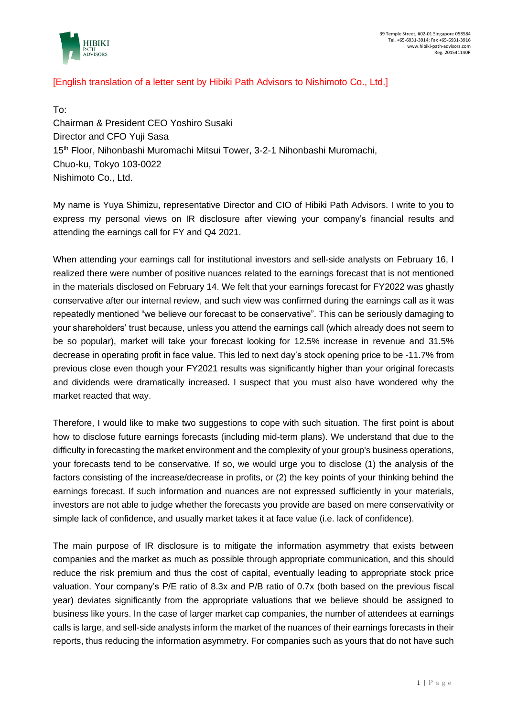

## [English translation of a letter sent by Hibiki Path Advisors to Nishimoto Co., Ltd.]

To: Chairman & President CEO Yoshiro Susaki Director and CFO Yuji Sasa 15th Floor, Nihonbashi Muromachi Mitsui Tower, 3-2-1 Nihonbashi Muromachi, Chuo-ku, Tokyo 103-0022 Nishimoto Co., Ltd.

My name is Yuya Shimizu, representative Director and CIO of Hibiki Path Advisors. I write to you to express my personal views on IR disclosure after viewing your company's financial results and attending the earnings call for FY and Q4 2021.

When attending your earnings call for institutional investors and sell-side analysts on February 16, I realized there were number of positive nuances related to the earnings forecast that is not mentioned in the materials disclosed on February 14. We felt that your earnings forecast for FY2022 was ghastly conservative after our internal review, and such view was confirmed during the earnings call as it was repeatedly mentioned "we believe our forecast to be conservative". This can be seriously damaging to your shareholders' trust because, unless you attend the earnings call (which already does not seem to be so popular), market will take your forecast looking for 12.5% increase in revenue and 31.5% decrease in operating profit in face value. This led to next day's stock opening price to be -11.7% from previous close even though your FY2021 results was significantly higher than your original forecasts and dividends were dramatically increased. I suspect that you must also have wondered why the market reacted that way.

Therefore, I would like to make two suggestions to cope with such situation. The first point is about how to disclose future earnings forecasts (including mid-term plans). We understand that due to the difficulty in forecasting the market environment and the complexity of your group's business operations, your forecasts tend to be conservative. If so, we would urge you to disclose (1) the analysis of the factors consisting of the increase/decrease in profits, or (2) the key points of your thinking behind the earnings forecast. If such information and nuances are not expressed sufficiently in your materials, investors are not able to judge whether the forecasts you provide are based on mere conservativity or simple lack of confidence, and usually market takes it at face value (i.e. lack of confidence).

The main purpose of IR disclosure is to mitigate the information asymmetry that exists between companies and the market as much as possible through appropriate communication, and this should reduce the risk premium and thus the cost of capital, eventually leading to appropriate stock price valuation. Your company's P/E ratio of 8.3x and P/B ratio of 0.7x (both based on the previous fiscal year) deviates significantly from the appropriate valuations that we believe should be assigned to business like yours. In the case of larger market cap companies, the number of attendees at earnings calls is large, and sell-side analysts inform the market of the nuances of their earnings forecasts in their reports, thus reducing the information asymmetry. For companies such as yours that do not have such